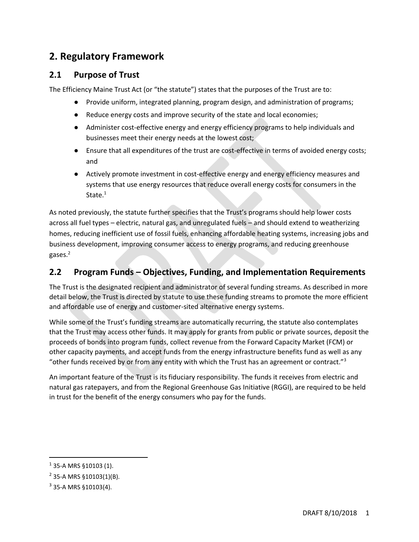# **2. Regulatory Framework**

### **2.1 Purpose of Trust**

The Efficiency Maine Trust Act (or "the statute") states that the purposes of the Trust are to:

- Provide uniform, integrated planning, program design, and administration of programs;
- Reduce energy costs and improve security of the state and local economies;
- Administer cost-effective energy and energy efficiency programs to help individuals and businesses meet their energy needs at the lowest cost;
- Ensure that all expenditures of the trust are cost-effective in terms of avoided energy costs; and
- Actively promote investment in cost-effective energy and energy efficiency measures and systems that use energy resources that reduce overall energy costs for consumers in the State.<sup>1</sup>

As noted previously, the statute further specifies that the Trust's programs should help lower costs across all fuel types – electric, natural gas, and unregulated fuels – and should extend to weatherizing homes, reducing inefficient use of fossil fuels, enhancing affordable heating systems, increasing jobs and business development, improving consumer access to energy programs, and reducing greenhouse gases.<sup>2</sup>

## **2.2 Program Funds – Objectives, Funding, and Implementation Requirements**

The Trust is the designated recipient and administrator of several funding streams. As described in more detail below, the Trust is directed by statute to use these funding streams to promote the more efficient and affordable use of energy and customer-sited alternative energy systems.

While some of the Trust's funding streams are automatically recurring, the statute also contemplates that the Trust may access other funds. It may apply for grants from public or private sources, deposit the proceeds of bonds into program funds, collect revenue from the Forward Capacity Market (FCM) or other capacity payments, and accept funds from the energy infrastructure benefits fund as well as any "other funds received by or from any entity with which the Trust has an agreement or contract."<sup>3</sup>

An important feature of the Trust is its fiduciary responsibility. The funds it receives from electric and natural gas ratepayers, and from the Regional Greenhouse Gas Initiative (RGGI), are required to be held in trust for the benefit of the energy consumers who pay for the funds.

 $\overline{a}$ 

 $1$  35-A MRS §10103 (1).

<sup>&</sup>lt;sup>2</sup> 35-A MRS §10103(1)(B).

 $3$  35-A MRS  $$10103(4).$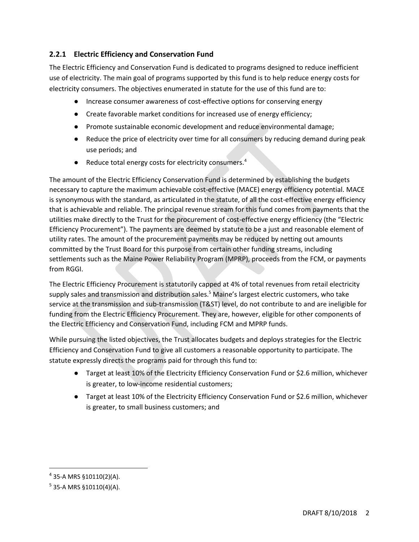### **2.2.1 Electric Efficiency and Conservation Fund**

The Electric Efficiency and Conservation Fund is dedicated to programs designed to reduce inefficient use of electricity. The main goal of programs supported by this fund is to help reduce energy costs for electricity consumers. The objectives enumerated in statute for the use of this fund are to:

- Increase consumer awareness of cost-effective options for conserving energy
- Create favorable market conditions for increased use of energy efficiency;
- Promote sustainable economic development and reduce environmental damage;
- Reduce the price of electricity over time for all consumers by reducing demand during peak use periods; and
- Reduce total energy costs for electricity consumers. $4$

The amount of the Electric Efficiency Conservation Fund is determined by establishing the budgets necessary to capture the maximum achievable cost-effective (MACE) energy efficiency potential. MACE is synonymous with the standard, as articulated in the statute, of all the cost-effective energy efficiency that is achievable and reliable. The principal revenue stream for this fund comes from payments that the utilities make directly to the Trust for the procurement of cost-effective energy efficiency (the "Electric Efficiency Procurement"). The payments are deemed by statute to be a just and reasonable element of utility rates. The amount of the procurement payments may be reduced by netting out amounts committed by the Trust Board for this purpose from certain other funding streams, including settlements such as the Maine Power Reliability Program (MPRP), proceeds from the FCM, or payments from RGGI.

The Electric Efficiency Procurement is statutorily capped at 4% of total revenues from retail electricity supply sales and transmission and distribution sales.<sup>5</sup> Maine's largest electric customers, who take service at the transmission and sub-transmission (T&ST) level, do not contribute to and are ineligible for funding from the Electric Efficiency Procurement. They are, however, eligible for other components of the Electric Efficiency and Conservation Fund, including FCM and MPRP funds.

While pursuing the listed objectives, the Trust allocates budgets and deploys strategies for the Electric Efficiency and Conservation Fund to give all customers a reasonable opportunity to participate. The statute expressly directs the programs paid for through this fund to:

- Target at least 10% of the Electricity Efficiency Conservation Fund or \$2.6 million, whichever is greater, to low-income residential customers;
- Target at least 10% of the Electricity Efficiency Conservation Fund or \$2.6 million, whichever is greater, to small business customers; and

l

<sup>&</sup>lt;sup>4</sup> 35-A MRS §10110(2)(A).

<sup>&</sup>lt;sup>5</sup> 35-A MRS §10110(4)(A).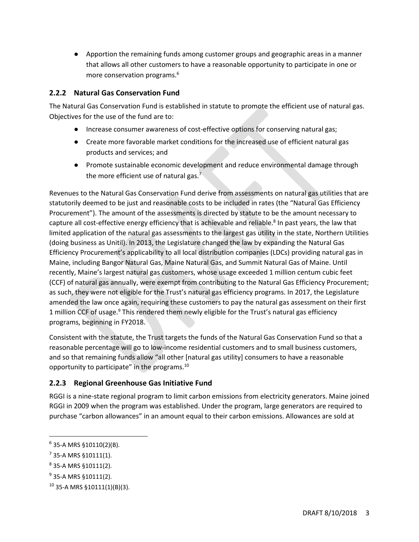● Apportion the remaining funds among customer groups and geographic areas in a manner that allows all other customers to have a reasonable opportunity to participate in one or more conservation programs.<sup>6</sup>

### **2.2.2 Natural Gas Conservation Fund**

The Natural Gas Conservation Fund is established in statute to promote the efficient use of natural gas. Objectives for the use of the fund are to:

- Increase consumer awareness of cost-effective options for conserving natural gas;
- Create more favorable market conditions for the increased use of efficient natural gas products and services; and
- Promote sustainable economic development and reduce environmental damage through the more efficient use of natural gas.<sup>7</sup>

Revenues to the Natural Gas Conservation Fund derive from assessments on natural gas utilities that are statutorily deemed to be just and reasonable costs to be included in rates (the "Natural Gas Efficiency Procurement"). The amount of the assessments is directed by statute to be the amount necessary to capture all cost-effective energy efficiency that is achievable and reliable.<sup>8</sup> In past years, the law that limited application of the natural gas assessments to the largest gas utility in the state, Northern Utilities (doing business as Unitil). In 2013, the Legislature changed the law by expanding the Natural Gas Efficiency Procurement's applicability to all local distribution companies (LDCs) providing natural gas in Maine, including Bangor Natural Gas, Maine Natural Gas, and Summit Natural Gas of Maine. Until recently, Maine's largest natural gas customers, whose usage exceeded 1 million centum cubic feet (CCF) of natural gas annually, were exempt from contributing to the Natural Gas Efficiency Procurement; as such, they were not eligible for the Trust's natural gas efficiency programs. In 2017, the Legislature amended the law once again, requiring these customers to pay the natural gas assessment on their first 1 million CCF of usage.<sup>9</sup> This rendered them newly eligible for the Trust's natural gas efficiency programs, beginning in FY2018.

Consistent with the statute, the Trust targets the funds of the Natural Gas Conservation Fund so that a reasonable percentage will go to low-income residential customers and to small business customers, and so that remaining funds allow "all other [natural gas utility] consumers to have a reasonable opportunity to participate" in the programs.<sup>10</sup>

### **2.2.3 Regional Greenhouse Gas Initiative Fund**

RGGI is a nine-state regional program to limit carbon emissions from electricity generators. Maine joined RGGI in 2009 when the program was established. Under the program, large generators are required to purchase "carbon allowances" in an amount equal to their carbon emissions. Allowances are sold at

<sup>&</sup>lt;sup>6</sup> 35-A MRS §10110(2)(B).

 $^7$  35-A MRS §10111(1).

 $^8$  35-A MRS  $\S 10111(2)$ .

<sup>&</sup>lt;sup>9</sup> 35-A MRS §10111(2).

 $10$  35-A MRS §10111(1)(B)(3).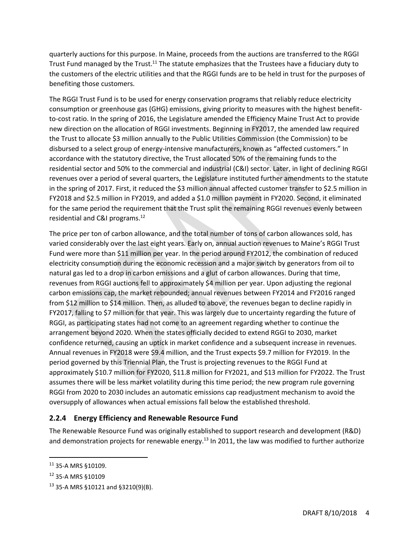quarterly auctions for this purpose. In Maine, proceeds from the auctions are transferred to the RGGI Trust Fund managed by the Trust.<sup>11</sup> The statute emphasizes that the Trustees have a fiduciary duty to the customers of the electric utilities and that the RGGI funds are to be held in trust for the purposes of benefiting those customers.

The RGGI Trust Fund is to be used for energy conservation programs that reliably reduce electricity consumption or greenhouse gas (GHG) emissions, giving priority to measures with the highest benefitto-cost ratio. In the spring of 2016, the Legislature amended the Efficiency Maine Trust Act to provide new direction on the allocation of RGGI investments. Beginning in FY2017, the amended law required the Trust to allocate \$3 million annually to the Public Utilities Commission (the Commission) to be disbursed to a select group of energy-intensive manufacturers, known as "affected customers." In accordance with the statutory directive, the Trust allocated 50% of the remaining funds to the residential sector and 50% to the commercial and industrial (C&I) sector. Later, in light of declining RGGI revenues over a period of several quarters, the Legislature instituted further amendments to the statute in the spring of 2017. First, it reduced the \$3 million annual affected customer transfer to \$2.5 million in FY2018 and \$2.5 million in FY2019, and added a \$1.0 million payment in FY2020. Second, it eliminated for the same period the requirement that the Trust split the remaining RGGI revenues evenly between residential and C&I programs.<sup>12</sup>

The price per ton of carbon allowance, and the total number of tons of carbon allowances sold, has varied considerably over the last eight years. Early on, annual auction revenues to Maine's RGGI Trust Fund were more than \$11 million per year. In the period around FY2012, the combination of reduced electricity consumption during the economic recession and a major switch by generators from oil to natural gas led to a drop in carbon emissions and a glut of carbon allowances. During that time, revenues from RGGI auctions fell to approximately \$4 million per year. Upon adjusting the regional carbon emissions cap, the market rebounded; annual revenues between FY2014 and FY2016 ranged from \$12 million to \$14 million. Then, as alluded to above, the revenues began to decline rapidly in FY2017, falling to \$7 million for that year. This was largely due to uncertainty regarding the future of RGGI, as participating states had not come to an agreement regarding whether to continue the arrangement beyond 2020. When the states officially decided to extend RGGI to 2030, market confidence returned, causing an uptick in market confidence and a subsequent increase in revenues. Annual revenues in FY2018 were \$9.4 million, and the Trust expects \$9.7 million for FY2019. In the period governed by this Triennial Plan, the Trust is projecting revenues to the RGGI Fund at approximately \$10.7 million for FY2020, \$11.8 million for FY2021, and \$13 million for FY2022. The Trust assumes there will be less market volatility during this time period; the new program rule governing RGGI from 2020 to 2030 includes an automatic emissions cap readjustment mechanism to avoid the oversupply of allowances when actual emissions fall below the established threshold.

#### **2.2.4 Energy Efficiency and Renewable Resource Fund**

The Renewable Resource Fund was originally established to support research and development (R&D) and demonstration projects for renewable energy.<sup>13</sup> In 2011, the law was modified to further authorize

 $\overline{a}$ 

<sup>11</sup> 35-A MRS §10109.

<sup>12</sup> 35-A MRS §10109

<sup>13</sup> 35-A MRS §10121 and §3210(9)(B).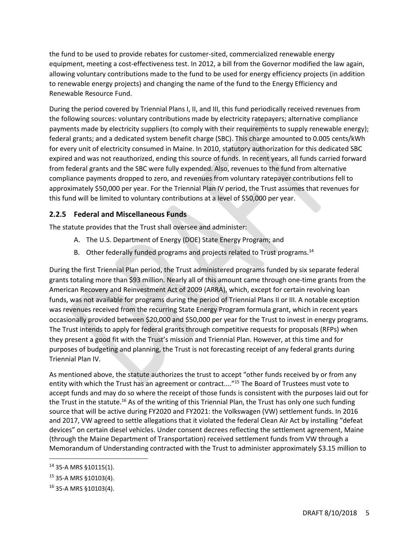the fund to be used to provide rebates for customer-sited, commercialized renewable energy equipment, meeting a cost-effectiveness test. In 2012, a bill from the Governor modified the law again, allowing voluntary contributions made to the fund to be used for energy efficiency projects (in addition to renewable energy projects) and changing the name of the fund to the Energy Efficiency and Renewable Resource Fund.

During the period covered by Triennial Plans I, II, and III, this fund periodically received revenues from the following sources: voluntary contributions made by electricity ratepayers; alternative compliance payments made by electricity suppliers (to comply with their requirements to supply renewable energy); federal grants; and a dedicated system benefit charge (SBC). This charge amounted to 0.005 cents/kWh for every unit of electricity consumed in Maine. In 2010, statutory authorization for this dedicated SBC expired and was not reauthorized, ending this source of funds. In recent years, all funds carried forward from federal grants and the SBC were fully expended. Also, revenues to the fund from alternative compliance payments dropped to zero, and revenues from voluntary ratepayer contributions fell to approximately \$50,000 per year. For the Triennial Plan IV period, the Trust assumes that revenues for this fund will be limited to voluntary contributions at a level of \$50,000 per year.

#### **2.2.5 Federal and Miscellaneous Funds**

The statute provides that the Trust shall oversee and administer:

- A. The U.S. Department of Energy (DOE) State Energy Program; and
- B. Other federally funded programs and projects related to Trust programs.<sup>14</sup>

During the first Triennial Plan period, the Trust administered programs funded by six separate federal grants totaling more than \$93 million. Nearly all of this amount came through one-time grants from the American Recovery and Reinvestment Act of 2009 (ARRA), which, except for certain revolving loan funds, was not available for programs during the period of Triennial Plans II or III. A notable exception was revenues received from the recurring State Energy Program formula grant, which in recent years occasionally provided between \$20,000 and \$50,000 per year for the Trust to invest in energy programs. The Trust intends to apply for federal grants through competitive requests for proposals (RFPs) when they present a good fit with the Trust's mission and Triennial Plan. However, at this time and for purposes of budgeting and planning, the Trust is not forecasting receipt of any federal grants during Triennial Plan IV.

As mentioned above, the statute authorizes the trust to accept "other funds received by or from any entity with which the Trust has an agreement or contract....<sup>"15</sup> The Board of Trustees must vote to accept funds and may do so where the receipt of those funds is consistent with the purposes laid out for the Trust in the statute.<sup>16</sup> As of the writing of this Triennial Plan, the Trust has only one such funding source that will be active during FY2020 and FY2021: the Volkswagen (VW) settlement funds. In 2016 and 2017, VW agreed to settle allegations that it violated the federal Clean Air Act by installing "defeat devices" on certain diesel vehicles. Under consent decrees reflecting the settlement agreement, Maine (through the Maine Department of Transportation) received settlement funds from VW through a Memorandum of Understanding contracted with the Trust to administer approximately \$3.15 million to

<sup>14</sup> 35-A MRS §10115(1).

<sup>15</sup> 35-A MRS §10103(4).

<sup>16</sup> 35-A MRS §10103(4).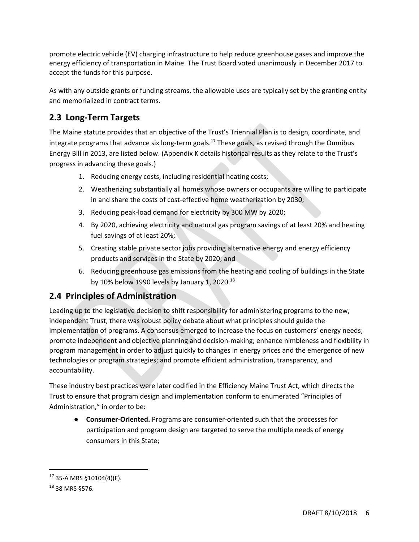promote electric vehicle (EV) charging infrastructure to help reduce greenhouse gases and improve the energy efficiency of transportation in Maine. The Trust Board voted unanimously in December 2017 to accept the funds for this purpose.

As with any outside grants or funding streams, the allowable uses are typically set by the granting entity and memorialized in contract terms.

## **2.3 Long-Term Targets**

The Maine statute provides that an objective of the Trust's Triennial Plan is to design, coordinate, and integrate programs that advance six long-term goals.<sup>17</sup> These goals, as revised through the Omnibus Energy Bill in 2013, are listed below. (Appendix K details historical results as they relate to the Trust's progress in advancing these goals.)

- 1. Reducing energy costs, including residential heating costs;
- 2. Weatherizing substantially all homes whose owners or occupants are willing to participate in and share the costs of cost-effective home weatherization by 2030;
- 3. Reducing peak-load demand for electricity by 300 MW by 2020;
- 4. By 2020, achieving electricity and natural gas program savings of at least 20% and heating fuel savings of at least 20%;
- 5. Creating stable private sector jobs providing alternative energy and energy efficiency products and services in the State by 2020; and
- 6. Reducing greenhouse gas emissions from the heating and cooling of buildings in the State by 10% below 1990 levels by January 1, 2020.<sup>18</sup>

## **2.4 Principles of Administration**

Leading up to the legislative decision to shift responsibility for administering programs to the new, independent Trust, there was robust policy debate about what principles should guide the implementation of programs. A consensus emerged to increase the focus on customers' energy needs; promote independent and objective planning and decision-making; enhance nimbleness and flexibility in program management in order to adjust quickly to changes in energy prices and the emergence of new technologies or program strategies; and promote efficient administration, transparency, and accountability.

These industry best practices were later codified in the Efficiency Maine Trust Act, which directs the Trust to ensure that program design and implementation conform to enumerated "Principles of Administration," in order to be:

● **Consumer-Oriented.** Programs are consumer-oriented such that the processes for participation and program design are targeted to serve the multiple needs of energy consumers in this State;

<sup>17</sup> 35-A MRS §10104(4)(F).

<sup>18</sup> 38 MRS §576.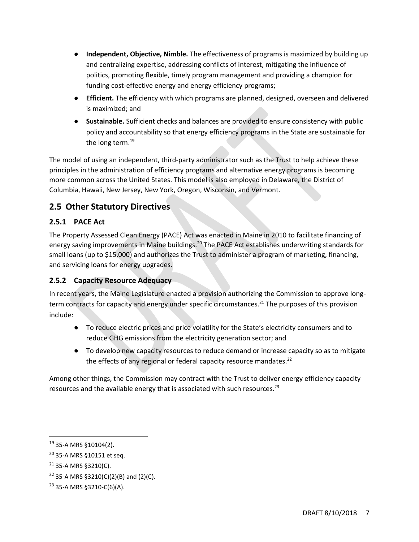- **Independent, Objective, Nimble.** The effectiveness of programs is maximized by building up and centralizing expertise, addressing conflicts of interest, mitigating the influence of politics, promoting flexible, timely program management and providing a champion for funding cost-effective energy and energy efficiency programs;
- **Efficient.** The efficiency with which programs are planned, designed, overseen and delivered is maximized; and
- **Sustainable.** Sufficient checks and balances are provided to ensure consistency with public policy and accountability so that energy efficiency programs in the State are sustainable for the long term.<sup>19</sup>

The model of using an independent, third-party administrator such as the Trust to help achieve these principles in the administration of efficiency programs and alternative energy programs is becoming more common across the United States. This model is also employed in Delaware, the District of Columbia, Hawaii, New Jersey, New York, Oregon, Wisconsin, and Vermont.

## **2.5 Other Statutory Directives**

### **2.5.1 PACE Act**

The Property Assessed Clean Energy (PACE) Act was enacted in Maine in 2010 to facilitate financing of energy saving improvements in Maine buildings.<sup>20</sup> The PACE Act establishes underwriting standards for small loans (up to \$15,000) and authorizes the Trust to administer a program of marketing, financing, and servicing loans for energy upgrades.

### **2.5.2 Capacity Resource Adequacy**

In recent years, the Maine Legislature enacted a provision authorizing the Commission to approve longterm contracts for capacity and energy under specific circumstances.<sup>21</sup> The purposes of this provision include:

- To reduce electric prices and price volatility for the State's electricity consumers and to reduce GHG emissions from the electricity generation sector; and
- To develop new capacity resources to reduce demand or increase capacity so as to mitigate the effects of any regional or federal capacity resource mandates.<sup>22</sup>

Among other things, the Commission may contract with the Trust to deliver energy efficiency capacity resources and the available energy that is associated with such resources.<sup>23</sup>

<sup>19</sup> 35-A MRS §10104(2).

<sup>20</sup> 35-A MRS §10151 et seq.

 $21$  35-A MRS §3210(C).

<sup>&</sup>lt;sup>22</sup> 35-A MRS §3210(C)(2)(B) and (2)(C).

<sup>23</sup> 35-A MRS §3210-C(6)(A).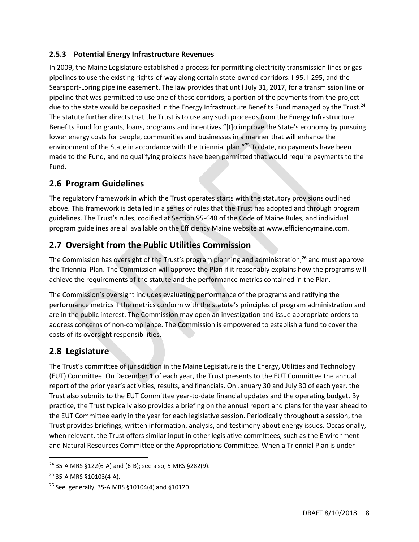### **2.5.3 Potential Energy Infrastructure Revenues**

In 2009, the Maine Legislature established a process for permitting electricity transmission lines or gas pipelines to use the existing rights-of-way along certain state-owned corridors: I-95, I-295, and the Searsport-Loring pipeline easement. The law provides that until July 31, 2017, for a transmission line or pipeline that was permitted to use one of these corridors, a portion of the payments from the project due to the state would be deposited in the Energy Infrastructure Benefits Fund managed by the Trust.<sup>24</sup> The statute further directs that the Trust is to use any such proceeds from the Energy Infrastructure Benefits Fund for grants, loans, programs and incentives "[t]o improve the State's economy by pursuing lower energy costs for people, communities and businesses in a manner that will enhance the environment of the State in accordance with the triennial plan."<sup>25</sup> To date, no payments have been made to the Fund, and no qualifying projects have been permitted that would require payments to the Fund.

## **2.6 Program Guidelines**

The regulatory framework in which the Trust operates starts with the statutory provisions outlined above. This framework is detailed in a series of rules that the Trust has adopted and through program guidelines. The Trust's rules, codified at Section 95-648 of the Code of Maine Rules, and individual program guidelines are all available on the Efficiency Maine website at www.efficiencymaine.com.

## **2.7 Oversight from the Public Utilities Commission**

The Commission has oversight of the Trust's program planning and administration,<sup>26</sup> and must approve the Triennial Plan. The Commission will approve the Plan if it reasonably explains how the programs will achieve the requirements of the statute and the performance metrics contained in the Plan.

The Commission's oversight includes evaluating performance of the programs and ratifying the performance metrics if the metrics conform with the statute's principles of program administration and are in the public interest. The Commission may open an investigation and issue appropriate orders to address concerns of non-compliance. The Commission is empowered to establish a fund to cover the costs of its oversight responsibilities.

## **2.8 Legislature**

The Trust's committee of jurisdiction in the Maine Legislature is the Energy, Utilities and Technology (EUT) Committee. On December 1 of each year, the Trust presents to the EUT Committee the annual report of the prior year's activities, results, and financials. On January 30 and July 30 of each year, the Trust also submits to the EUT Committee year-to-date financial updates and the operating budget. By practice, the Trust typically also provides a briefing on the annual report and plans for the year ahead to the EUT Committee early in the year for each legislative session. Periodically throughout a session, the Trust provides briefings, written information, analysis, and testimony about energy issues. Occasionally, when relevant, the Trust offers similar input in other legislative committees, such as the Environment and Natural Resources Committee or the Appropriations Committee. When a Triennial Plan is under

 $\overline{a}$ 

<sup>24</sup> 35-A MRS §122(6-A) and (6-B); see also, 5 MRS §282(9).

<sup>25</sup> 35-A MRS §10103(4-A).

 $26$  See, generally, 35-A MRS §10104(4) and §10120.